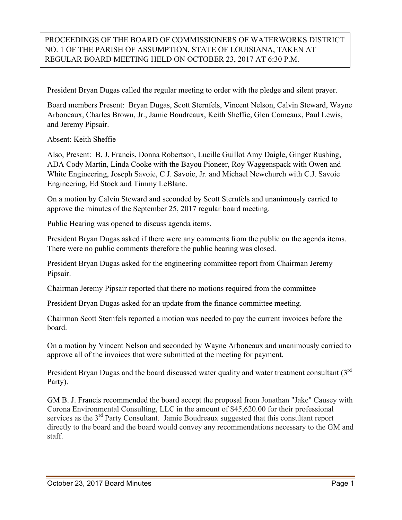## PROCEEDINGS OF THE BOARD OF COMMISSIONERS OF WATERWORKS DISTRICT NO. 1 OF THE PARISH OF ASSUMPTION, STATE OF LOUISIANA, TAKEN AT REGULAR BOARD MEETING HELD ON OCTOBER 23, 2017 AT 6:30 P.M.

President Bryan Dugas called the regular meeting to order with the pledge and silent prayer.

Board members Present: Bryan Dugas, Scott Sternfels, Vincent Nelson, Calvin Steward, Wayne Arboneaux, Charles Brown, Jr., Jamie Boudreaux, Keith Sheffie, Glen Comeaux, Paul Lewis, and Jeremy Pipsair.

Absent: Keith Sheffie

Also, Present: B. J. Francis, Donna Robertson, Lucille Guillot Amy Daigle, Ginger Rushing, ADA Cody Martin, Linda Cooke with the Bayou Pioneer, Roy Waggenspack with Owen and White Engineering, Joseph Savoie, C J. Savoie, Jr. and Michael Newchurch with C.J. Savoie Engineering, Ed Stock and Timmy LeBlanc.

On a motion by Calvin Steward and seconded by Scott Sternfels and unanimously carried to approve the minutes of the September 25, 2017 regular board meeting.

Public Hearing was opened to discuss agenda items.

President Bryan Dugas asked if there were any comments from the public on the agenda items. There were no public comments therefore the public hearing was closed.

President Bryan Dugas asked for the engineering committee report from Chairman Jeremy Pipsair.

Chairman Jeremy Pipsair reported that there no motions required from the committee

President Bryan Dugas asked for an update from the finance committee meeting.

Chairman Scott Sternfels reported a motion was needed to pay the current invoices before the board.

On a motion by Vincent Nelson and seconded by Wayne Arboneaux and unanimously carried to approve all of the invoices that were submitted at the meeting for payment.

President Bryan Dugas and the board discussed water quality and water treatment consultant (3<sup>rd</sup>) Party).

GM B. J. Francis recommended the board accept the proposal from Jonathan "Jake" Causey with Corona Environmental Consulting, LLC in the amount of \$45,620.00 for their professional services as the 3<sup>rd</sup> Party Consultant. Jamie Boudreaux suggested that this consultant report directly to the board and the board would convey any recommendations necessary to the GM and staff.